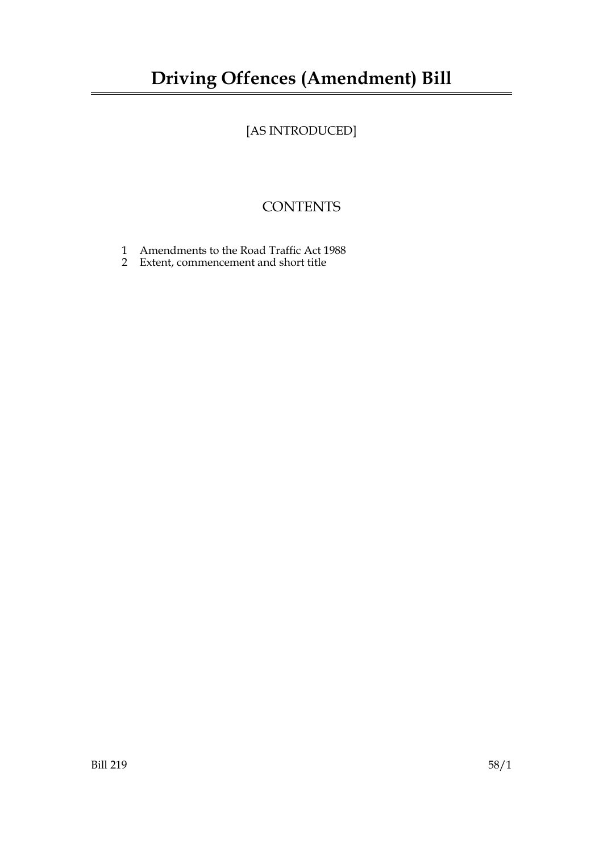## **Driving Offences (Amendment) Bill**

## [AS INTRODUCED]

## **CONTENTS**

- 1 Amendments to the Road Traffic Act 1988
- 2 Extent, commencement and short title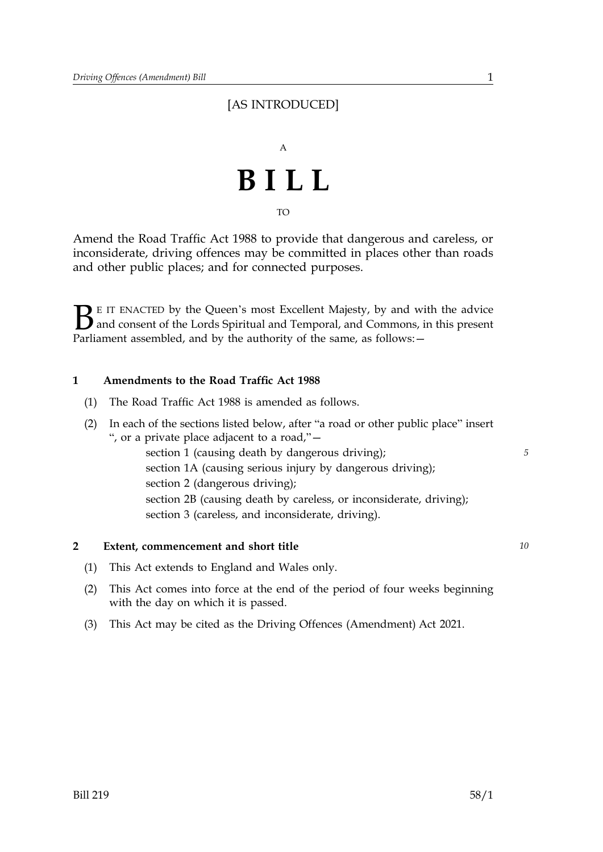### [AS INTRODUCED]



TO

Amend the Road Traffic Act 1988 to provide that dangerous and careless, or inconsiderate, driving offences may be committed in places other than roads and other public places; and for connected purposes.

 $\sum$  E IT ENACTED by the Queen's most Excellent Majesty, by and with the advice<br>and consent of the Lords Spiritual and Temporal, and Commons, in this present<br>Parliament assembled, and by the authority of the same, as foll and consent of the Lords Spiritual and Temporal, and Commons, in this present Parliament assembled, and by the authority of the same, as follows: -

#### **1 Amendments to the Road Traffic Act 1988**

(1) The Road Traffic Act 1988 is amended as follows.

| (2) | In each of the sections listed below, after "a road or other public place" insert |   |
|-----|-----------------------------------------------------------------------------------|---|
|     | ", or a private place adjacent to a road," -                                      |   |
|     | section 1 (causing death by dangerous driving);                                   | 5 |
|     | section 1A (causing serious injury by dangerous driving);                         |   |
|     | section 2 (dangerous driving);                                                    |   |
|     | section 2B (causing death by careless, or inconsiderate, driving);                |   |
|     | section 3 (careless, and inconsiderate, driving).                                 |   |
|     |                                                                                   |   |
|     |                                                                                   |   |

#### **2 Extent, commencement and short title** *10*

- (1) This Act extends to England and Wales only.
- (2) This Act comes into force at the end of the period of four weeks beginning with the day on which it is passed.
- (3) This Act may be cited as the Driving Offences (Amendment) Act 2021.